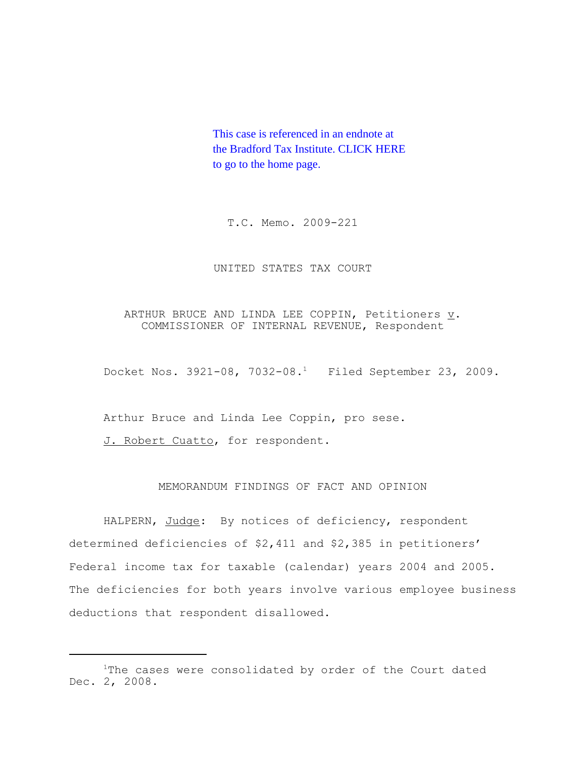This case is referenced in an endnote at [the Bradford Tax Institute. CLICK HERE](http://bradfordtaxinstitute.com/)  to go to the home page.

T.C. Memo. 2009-221

# UNITED STATES TAX COURT

# ARTHUR BRUCE AND LINDA LEE COPPIN, Petitioners  $\underline{v}$ . COMMISSIONER OF INTERNAL REVENUE, Respondent

Docket Nos. 3921-08, 7032-08.1 Filed September 23, 2009.

Arthur Bruce and Linda Lee Coppin, pro sese.

J. Robert Cuatto, for respondent.

# MEMORANDUM FINDINGS OF FACT AND OPINION

HALPERN, Judge: By notices of deficiency, respondent determined deficiencies of \$2,411 and \$2,385 in petitioners' Federal income tax for taxable (calendar) years 2004 and 2005. The deficiencies for both years involve various employee business deductions that respondent disallowed.

<sup>&</sup>lt;sup>1</sup>The cases were consolidated by order of the Court dated Dec. 2, 2008.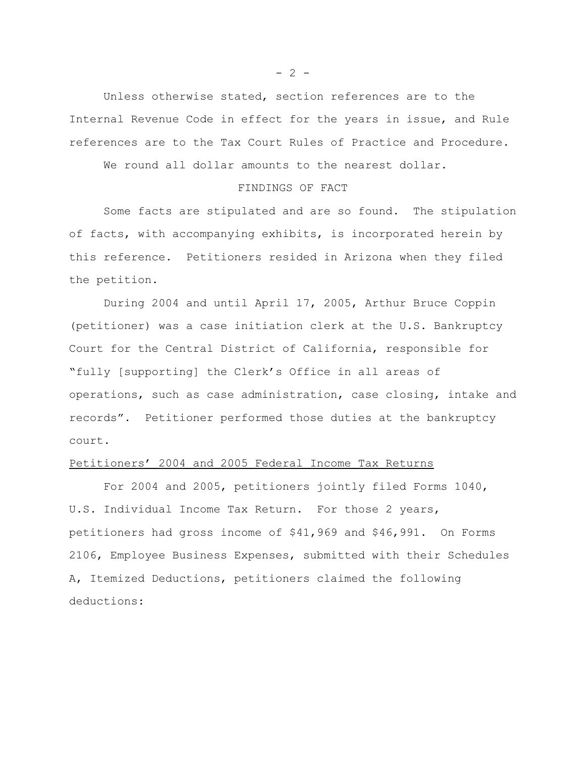Unless otherwise stated, section references are to the Internal Revenue Code in effect for the years in issue, and Rule references are to the Tax Court Rules of Practice and Procedure.

We round all dollar amounts to the nearest dollar.

#### FINDINGS OF FACT

Some facts are stipulated and are so found. The stipulation of facts, with accompanying exhibits, is incorporated herein by this reference. Petitioners resided in Arizona when they filed the petition.

During 2004 and until April 17, 2005, Arthur Bruce Coppin (petitioner) was a case initiation clerk at the U.S. Bankruptcy Court for the Central District of California, responsible for "fully [supporting] the Clerk's Office in all areas of operations, such as case administration, case closing, intake and records". Petitioner performed those duties at the bankruptcy court.

# Petitioners' 2004 and 2005 Federal Income Tax Returns

For 2004 and 2005, petitioners jointly filed Forms 1040, U.S. Individual Income Tax Return. For those 2 years, petitioners had gross income of \$41,969 and \$46,991. On Forms 2106, Employee Business Expenses, submitted with their Schedules A, Itemized Deductions, petitioners claimed the following deductions:

 $- 2 -$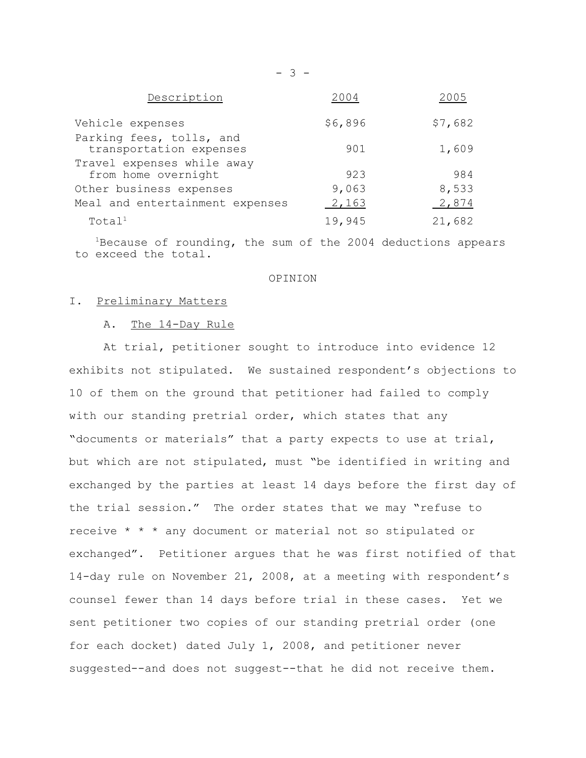| Description                                         | 2004    | 2005    |
|-----------------------------------------------------|---------|---------|
| Vehicle expenses                                    | \$6,896 | \$7,682 |
| Parking fees, tolls, and<br>transportation expenses | 901     | 1,609   |
| Travel expenses while away<br>from home overnight   | 923     | 984     |
| Other business expenses                             | 9,063   | 8,533   |
| Meal and entertainment expenses                     | 2,163   | 2,874   |
| Total <sup>1</sup>                                  | 19,945  | 21,682  |

 $1B$ ecause of rounding, the sum of the 2004 deductions appears to exceed the total.

#### OPINION

#### I. Preliminary Matters

### A. The 14-Day Rule

At trial, petitioner sought to introduce into evidence 12 exhibits not stipulated. We sustained respondent's objections to 10 of them on the ground that petitioner had failed to comply with our standing pretrial order, which states that any "documents or materials" that a party expects to use at trial, but which are not stipulated, must "be identified in writing and exchanged by the parties at least 14 days before the first day of the trial session." The order states that we may "refuse to receive \* \* \* any document or material not so stipulated or exchanged". Petitioner argues that he was first notified of that 14-day rule on November 21, 2008, at a meeting with respondent's counsel fewer than 14 days before trial in these cases. Yet we sent petitioner two copies of our standing pretrial order (one for each docket) dated July 1, 2008, and petitioner never suggested--and does not suggest--that he did not receive them.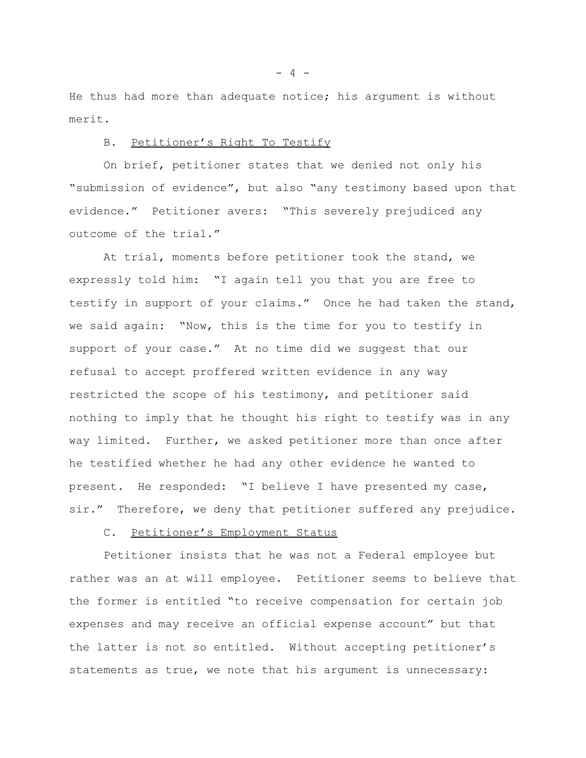He thus had more than adequate notice; his argument is without merit.

### B. Petitioner's Right To Testify

On brief, petitioner states that we denied not only his "submission of evidence", but also "any testimony based upon that evidence." Petitioner avers: "This severely prejudiced any outcome of the trial."

At trial, moments before petitioner took the stand, we expressly told him: "I again tell you that you are free to testify in support of your claims." Once he had taken the stand, we said again: "Now, this is the time for you to testify in support of your case." At no time did we suggest that our refusal to accept proffered written evidence in any way restricted the scope of his testimony, and petitioner said nothing to imply that he thought his right to testify was in any way limited. Further, we asked petitioner more than once after he testified whether he had any other evidence he wanted to present. He responded: "I believe I have presented my case, sir." Therefore, we deny that petitioner suffered any prejudice.

# C. Petitioner's Employment Status

Petitioner insists that he was not a Federal employee but rather was an at will employee. Petitioner seems to believe that the former is entitled "to receive compensation for certain job expenses and may receive an official expense account" but that the latter is not so entitled. Without accepting petitioner's statements as true, we note that his argument is unnecessary:

 $- 4 -$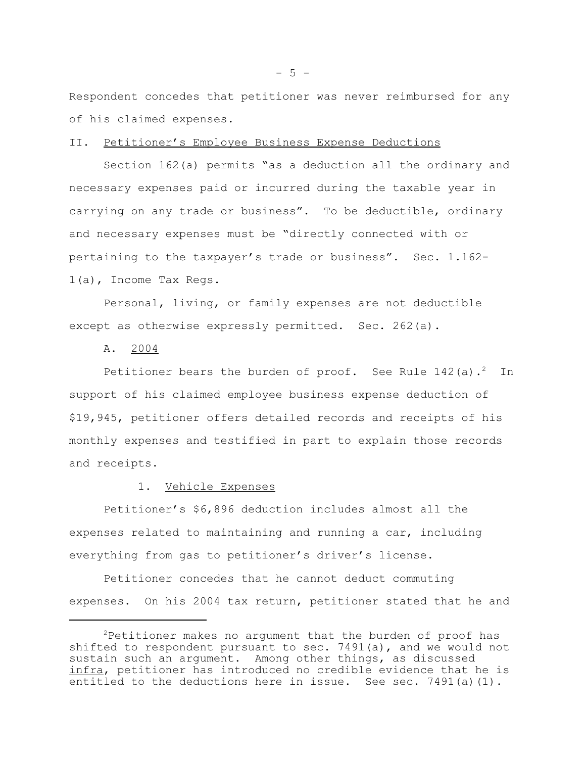Respondent concedes that petitioner was never reimbursed for any of his claimed expenses.

II. Petitioner's Employee Business Expense Deductions

Section 162(a) permits "as a deduction all the ordinary and necessary expenses paid or incurred during the taxable year in carrying on any trade or business". To be deductible, ordinary and necessary expenses must be "directly connected with or pertaining to the taxpayer's trade or business". Sec. 1.162- 1(a), Income Tax Regs.

Personal, living, or family expenses are not deductible except as otherwise expressly permitted. Sec. 262(a).

A. 2004

Petitioner bears the burden of proof. See Rule  $142$  (a).<sup>2</sup> In support of his claimed employee business expense deduction of \$19,945, petitioner offers detailed records and receipts of his monthly expenses and testified in part to explain those records and receipts.

### 1. Vehicle Expenses

Petitioner's \$6,896 deduction includes almost all the expenses related to maintaining and running a car, including everything from gas to petitioner's driver's license.

Petitioner concedes that he cannot deduct commuting expenses. On his 2004 tax return, petitioner stated that he and

 $2$ Petitioner makes no argument that the burden of proof has shifted to respondent pursuant to sec. 7491(a), and we would not sustain such an argument. Among other things, as discussed infra, petitioner has introduced no credible evidence that he is entitled to the deductions here in issue. See sec. 7491(a)(1).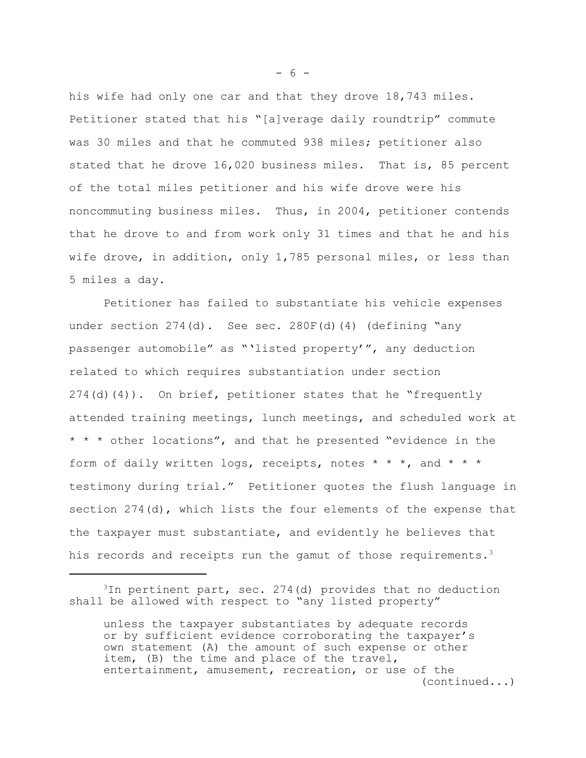his wife had only one car and that they drove 18,743 miles. Petitioner stated that his "[a]verage daily roundtrip" commute was 30 miles and that he commuted 938 miles; petitioner also stated that he drove 16,020 business miles. That is, 85 percent of the total miles petitioner and his wife drove were his noncommuting business miles. Thus, in 2004, petitioner contends that he drove to and from work only 31 times and that he and his wife drove, in addition, only 1,785 personal miles, or less than 5 miles a day.

Petitioner has failed to substantiate his vehicle expenses under section 274(d). See sec. 280F(d)(4) (defining "any passenger automobile" as "'listed property'", any deduction related to which requires substantiation under section 274(d)(4)). On brief, petitioner states that he "frequently attended training meetings, lunch meetings, and scheduled work at \* \* \* other locations", and that he presented "evidence in the form of daily written logs, receipts, notes  $* * *$ , and  $* * *$ testimony during trial." Petitioner quotes the flush language in section 274(d), which lists the four elements of the expense that the taxpayer must substantiate, and evidently he believes that his records and receipts run the gamut of those requirements.<sup>3</sup>

 $- 6 -$ 

 $3$ In pertinent part, sec. 274(d) provides that no deduction shall be allowed with respect to "any listed property"

unless the taxpayer substantiates by adequate records or by sufficient evidence corroborating the taxpayer's own statement (A) the amount of such expense or other item, (B) the time and place of the travel, entertainment, amusement, recreation, or use of the (continued...)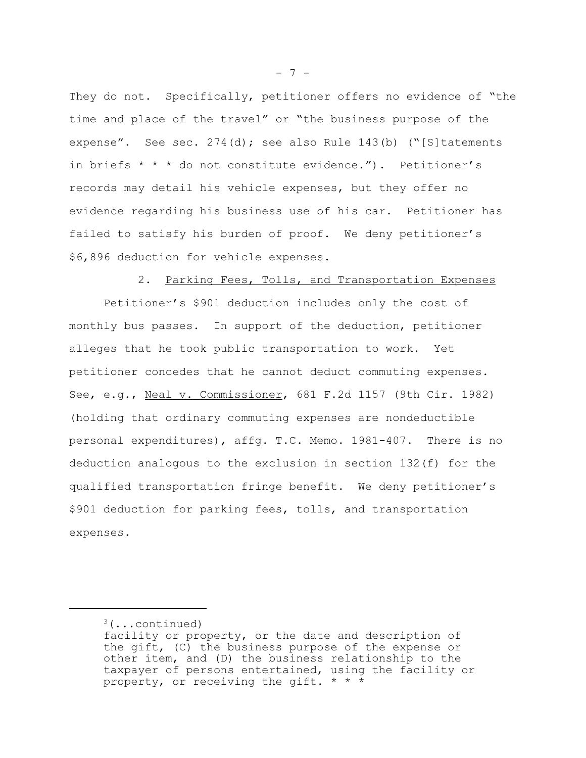They do not. Specifically, petitioner offers no evidence of "the time and place of the travel" or "the business purpose of the expense". See sec. 274(d); see also Rule 143(b) ("[S]tatements in briefs \* \* \* do not constitute evidence."). Petitioner's records may detail his vehicle expenses, but they offer no evidence regarding his business use of his car. Petitioner has failed to satisfy his burden of proof. We deny petitioner's \$6,896 deduction for vehicle expenses.

2. Parking Fees, Tolls, and Transportation Expenses

Petitioner's \$901 deduction includes only the cost of monthly bus passes. In support of the deduction, petitioner alleges that he took public transportation to work. Yet petitioner concedes that he cannot deduct commuting expenses. See, e.g., Neal v. Commissioner, 681 F.2d 1157 (9th Cir. 1982) (holding that ordinary commuting expenses are nondeductible personal expenditures), affg. T.C. Memo. 1981-407. There is no deduction analogous to the exclusion in section 132(f) for the qualified transportation fringe benefit. We deny petitioner's \$901 deduction for parking fees, tolls, and transportation expenses.

- 7 -

 $3$ (...continued)

facility or property, or the date and description of the gift, (C) the business purpose of the expense or other item, and (D) the business relationship to the taxpayer of persons entertained, using the facility or property, or receiving the gift. \* \* \*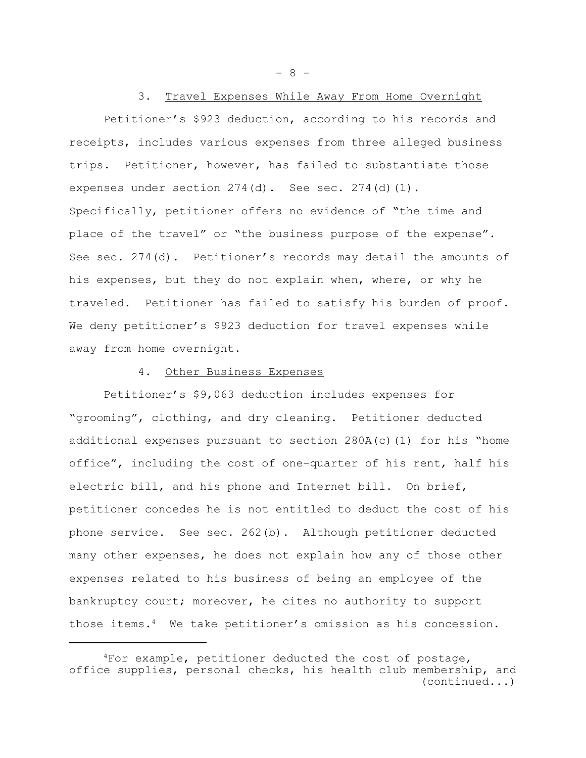- 8 -

### 3. Travel Expenses While Away From Home Overnight

Petitioner's \$923 deduction, according to his records and receipts, includes various expenses from three alleged business trips. Petitioner, however, has failed to substantiate those expenses under section 274(d). See sec. 274(d)(1). Specifically, petitioner offers no evidence of "the time and place of the travel" or "the business purpose of the expense". See sec. 274(d). Petitioner's records may detail the amounts of his expenses, but they do not explain when, where, or why he traveled. Petitioner has failed to satisfy his burden of proof. We deny petitioner's \$923 deduction for travel expenses while away from home overnight.

#### 4. Other Business Expenses

Petitioner's \$9,063 deduction includes expenses for "grooming", clothing, and dry cleaning. Petitioner deducted additional expenses pursuant to section  $280A(c)(1)$  for his "home office", including the cost of one-quarter of his rent, half his electric bill, and his phone and Internet bill. On brief, petitioner concedes he is not entitled to deduct the cost of his phone service. See sec. 262(b). Although petitioner deducted many other expenses, he does not explain how any of those other expenses related to his business of being an employee of the bankruptcy court; moreover, he cites no authority to support those items.<sup>4</sup> We take petitioner's omission as his concession.

<sup>4</sup>For example, petitioner deducted the cost of postage, office supplies, personal checks, his health club membership, and (continued...)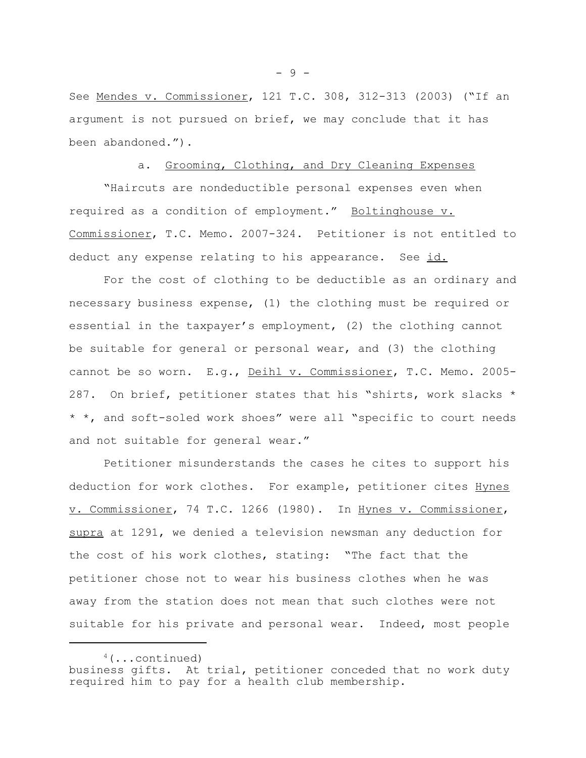See Mendes v. Commissioner, 121 T.C. 308, 312-313 (2003) ("If an argument is not pursued on brief, we may conclude that it has been abandoned.").

# a. Grooming, Clothing, and Dry Cleaning Expenses

"Haircuts are nondeductible personal expenses even when required as a condition of employment." Boltinghouse v. Commissioner, T.C. Memo. 2007-324. Petitioner is not entitled to deduct any expense relating to his appearance. See id.

For the cost of clothing to be deductible as an ordinary and necessary business expense, (1) the clothing must be required or essential in the taxpayer's employment, (2) the clothing cannot be suitable for general or personal wear, and (3) the clothing cannot be so worn. E.g., Deihl v. Commissioner, T.C. Memo. 2005-287. On brief, petitioner states that his "shirts, work slacks \* \* \*, and soft-soled work shoes" were all "specific to court needs and not suitable for general wear."

Petitioner misunderstands the cases he cites to support his deduction for work clothes. For example, petitioner cites Hynes v. Commissioner, 74 T.C. 1266 (1980). In Hynes v. Commissioner, supra at 1291, we denied a television newsman any deduction for the cost of his work clothes, stating: "The fact that the petitioner chose not to wear his business clothes when he was away from the station does not mean that such clothes were not suitable for his private and personal wear. Indeed, most people

 $4$ (...continued) business gifts. At trial, petitioner conceded that no work duty required him to pay for a health club membership.

- 9 -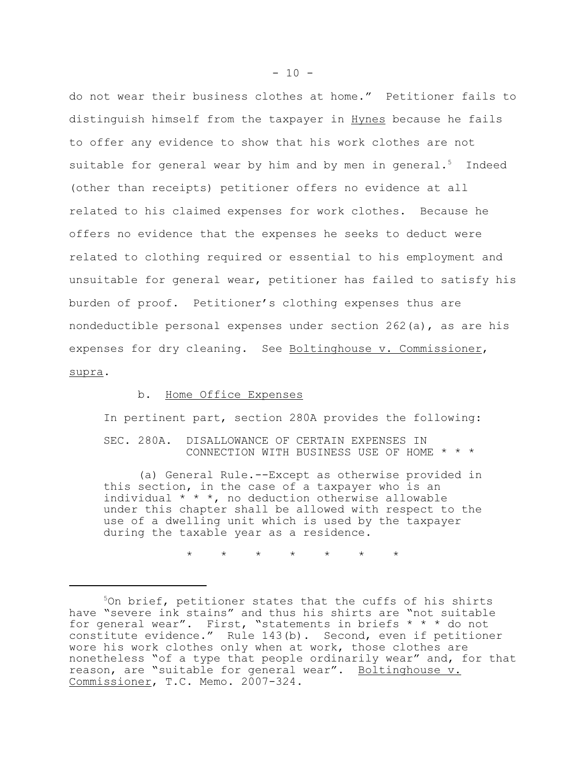do not wear their business clothes at home." Petitioner fails to distinguish himself from the taxpayer in Hynes because he fails to offer any evidence to show that his work clothes are not suitable for general wear by him and by men in general.<sup>5</sup> Indeed (other than receipts) petitioner offers no evidence at all related to his claimed expenses for work clothes. Because he offers no evidence that the expenses he seeks to deduct were related to clothing required or essential to his employment and unsuitable for general wear, petitioner has failed to satisfy his burden of proof. Petitioner's clothing expenses thus are nondeductible personal expenses under section 262(a), as are his expenses for dry cleaning. See Boltinghouse v. Commissioner, supra.

#### b. Home Office Expenses

In pertinent part, section 280A provides the following:

SEC. 280A. DISALLOWANCE OF CERTAIN EXPENSES IN CONNECTION WITH BUSINESS USE OF HOME \* \* \*

(a) General Rule.--Except as otherwise provided in this section, in the case of a taxpayer who is an individual  $* * *$ , no deduction otherwise allowable under this chapter shall be allowed with respect to the use of a dwelling unit which is used by the taxpayer during the taxable year as a residence.

\* \* \* \* \* \* \*

<sup>5</sup>On brief, petitioner states that the cuffs of his shirts have "severe ink stains" and thus his shirts are "not suitable for general wear". First, "statements in briefs \* \* \* do not constitute evidence." Rule 143(b). Second, even if petitioner wore his work clothes only when at work, those clothes are nonetheless "of a type that people ordinarily wear" and, for that reason, are "suitable for general wear". Boltinghouse v. Commissioner, T.C. Memo. 2007-324.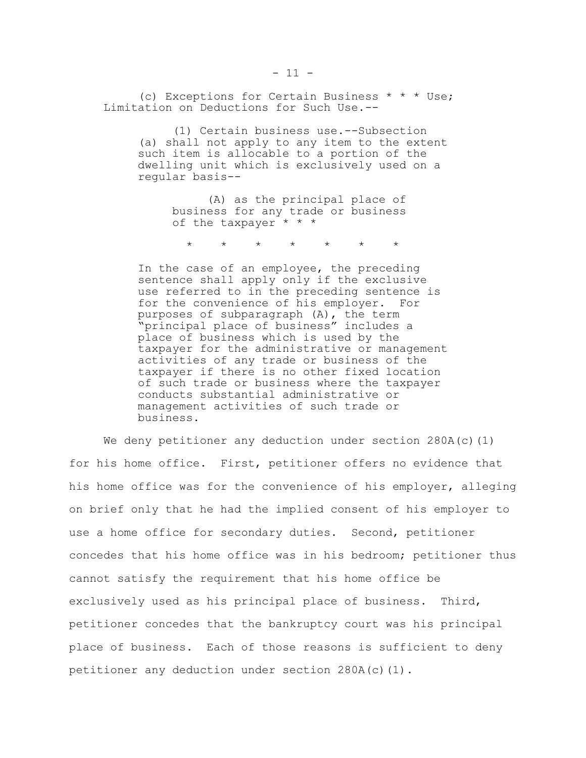(c) Exceptions for Certain Business \* \* \* Use; Limitation on Deductions for Such Use.--

(1) Certain business use.--Subsection (a) shall not apply to any item to the extent such item is allocable to a portion of the dwelling unit which is exclusively used on a regular basis--

> (A) as the principal place of business for any trade or business of the taxpayer \* \* \*

\* \* \* \* \* \* \*

In the case of an employee, the preceding sentence shall apply only if the exclusive use referred to in the preceding sentence is for the convenience of his employer. For purposes of subparagraph (A), the term "principal place of business" includes a place of business which is used by the taxpayer for the administrative or management activities of any trade or business of the taxpayer if there is no other fixed location of such trade or business where the taxpayer conducts substantial administrative or management activities of such trade or business.

We deny petitioner any deduction under section  $280A(c)(1)$ for his home office. First, petitioner offers no evidence that his home office was for the convenience of his employer, alleging on brief only that he had the implied consent of his employer to use a home office for secondary duties. Second, petitioner concedes that his home office was in his bedroom; petitioner thus cannot satisfy the requirement that his home office be exclusively used as his principal place of business. Third, petitioner concedes that the bankruptcy court was his principal place of business. Each of those reasons is sufficient to deny petitioner any deduction under section  $280A(c)(1)$ .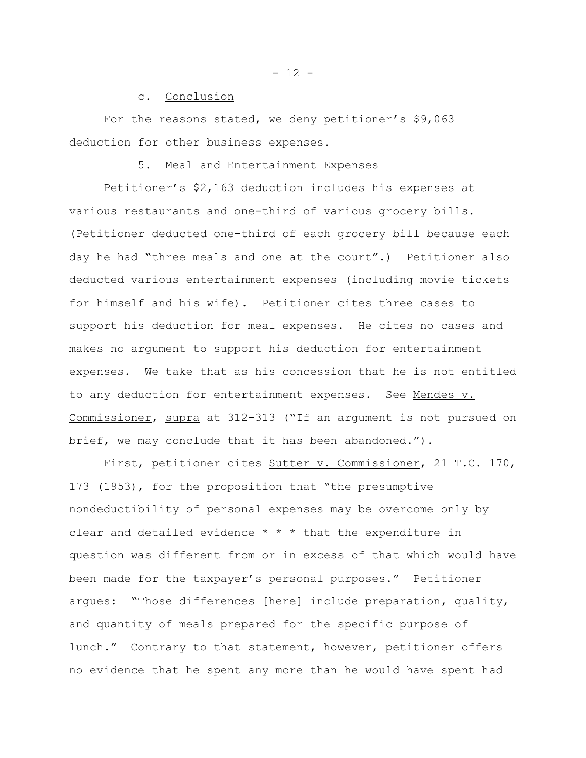c. Conclusion

For the reasons stated, we deny petitioner's \$9,063 deduction for other business expenses.

#### 5. Meal and Entertainment Expenses

Petitioner's \$2,163 deduction includes his expenses at various restaurants and one-third of various grocery bills. (Petitioner deducted one-third of each grocery bill because each day he had "three meals and one at the court".) Petitioner also deducted various entertainment expenses (including movie tickets for himself and his wife). Petitioner cites three cases to support his deduction for meal expenses. He cites no cases and makes no argument to support his deduction for entertainment expenses. We take that as his concession that he is not entitled to any deduction for entertainment expenses. See Mendes v. Commissioner, supra at 312-313 ("If an argument is not pursued on brief, we may conclude that it has been abandoned.").

First, petitioner cites Sutter v. Commissioner, 21 T.C. 170, 173 (1953), for the proposition that "the presumptive nondeductibility of personal expenses may be overcome only by clear and detailed evidence  $* * *$  that the expenditure in question was different from or in excess of that which would have been made for the taxpayer's personal purposes." Petitioner argues: "Those differences [here] include preparation, quality, and quantity of meals prepared for the specific purpose of lunch." Contrary to that statement, however, petitioner offers no evidence that he spent any more than he would have spent had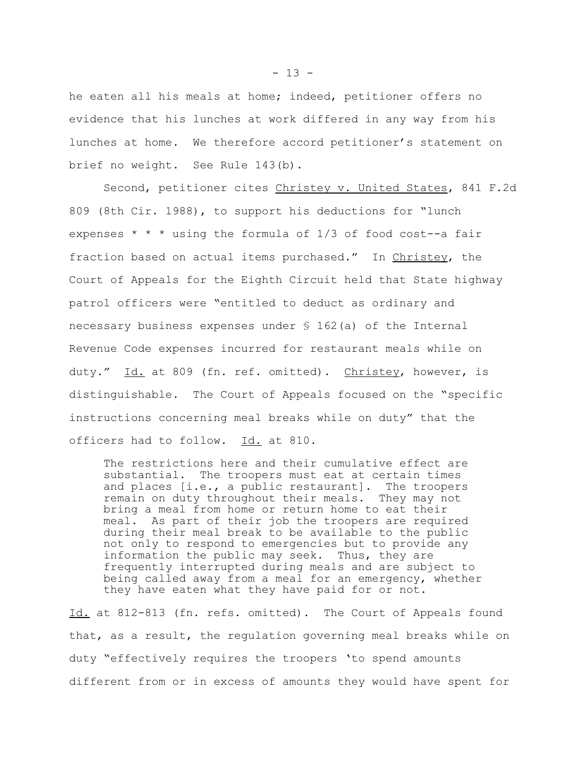he eaten all his meals at home; indeed, petitioner offers no evidence that his lunches at work differed in any way from his lunches at home. We therefore accord petitioner's statement on brief no weight. See Rule 143(b).

Second, petitioner cites Christey v. United States, 841 F.2d 809 (8th Cir. 1988), to support his deductions for "lunch expenses  $* * *$  using the formula of  $1/3$  of food cost--a fair fraction based on actual items purchased." In Christey, the Court of Appeals for the Eighth Circuit held that State highway patrol officers were "entitled to deduct as ordinary and necessary business expenses under § 162(a) of the Internal Revenue Code expenses incurred for restaurant meals while on duty." Id. at 809 (fn. ref. omitted). Christey, however, is distinguishable. The Court of Appeals focused on the "specific instructions concerning meal breaks while on duty" that the officers had to follow. Id. at 810.

The restrictions here and their cumulative effect are substantial. The troopers must eat at certain times and places [i.e., a public restaurant]. The troopers remain on duty throughout their meals. They may not bring a meal from home or return home to eat their meal. As part of their job the troopers are required during their meal break to be available to the public not only to respond to emergencies but to provide any information the public may seek. Thus, they are frequently interrupted during meals and are subject to being called away from a meal for an emergency, whether they have eaten what they have paid for or not.

Id. at 812-813 (fn. refs. omitted). The Court of Appeals found that, as a result, the regulation governing meal breaks while on duty "effectively requires the troopers 'to spend amounts different from or in excess of amounts they would have spent for

 $- 13 -$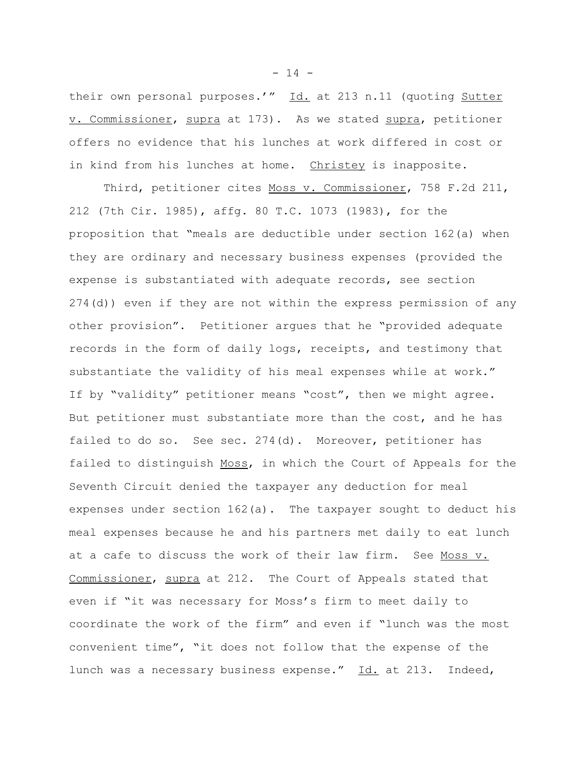their own personal purposes.'" Id. at 213 n.11 (quoting Sutter v. Commissioner, supra at 173). As we stated supra, petitioner offers no evidence that his lunches at work differed in cost or in kind from his lunches at home. Christey is inapposite.

Third, petitioner cites Moss v. Commissioner, 758 F.2d 211, 212 (7th Cir. 1985), affg. 80 T.C. 1073 (1983), for the proposition that "meals are deductible under section 162(a) when they are ordinary and necessary business expenses (provided the expense is substantiated with adequate records, see section 274(d)) even if they are not within the express permission of any other provision". Petitioner argues that he "provided adequate records in the form of daily logs, receipts, and testimony that substantiate the validity of his meal expenses while at work." If by "validity" petitioner means "cost", then we might agree. But petitioner must substantiate more than the cost, and he has failed to do so. See sec. 274(d). Moreover, petitioner has failed to distinguish Moss, in which the Court of Appeals for the Seventh Circuit denied the taxpayer any deduction for meal expenses under section 162(a). The taxpayer sought to deduct his meal expenses because he and his partners met daily to eat lunch at a cafe to discuss the work of their law firm. See Moss v. Commissioner, supra at 212. The Court of Appeals stated that even if "it was necessary for Moss's firm to meet daily to coordinate the work of the firm" and even if "lunch was the most convenient time", "it does not follow that the expense of the lunch was a necessary business expense." Id. at 213. Indeed,

 $- 14 -$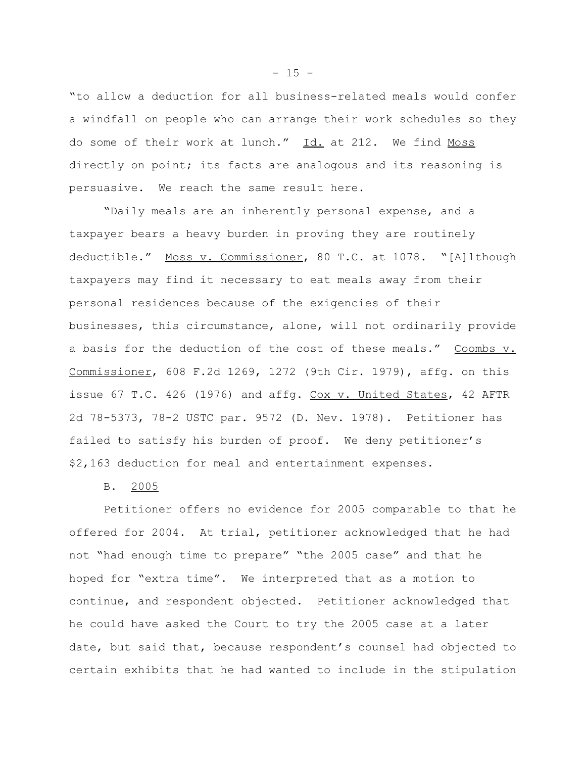"to allow a deduction for all business-related meals would confer a windfall on people who can arrange their work schedules so they do some of their work at lunch." Id. at 212. We find Moss directly on point; its facts are analogous and its reasoning is persuasive. We reach the same result here.

"Daily meals are an inherently personal expense, and a taxpayer bears a heavy burden in proving they are routinely deductible." Moss v. Commissioner, 80 T.C. at 1078. "[A]lthough taxpayers may find it necessary to eat meals away from their personal residences because of the exigencies of their businesses, this circumstance, alone, will not ordinarily provide a basis for the deduction of the cost of these meals." Coombs v. Commissioner, 608 F.2d 1269, 1272 (9th Cir. 1979), affg. on this issue 67 T.C. 426 (1976) and affg. Cox v. United States, 42 AFTR 2d 78-5373, 78-2 USTC par. 9572 (D. Nev. 1978). Petitioner has failed to satisfy his burden of proof. We deny petitioner's \$2,163 deduction for meal and entertainment expenses.

B. 2005

Petitioner offers no evidence for 2005 comparable to that he offered for 2004. At trial, petitioner acknowledged that he had not "had enough time to prepare" "the 2005 case" and that he hoped for "extra time". We interpreted that as a motion to continue, and respondent objected. Petitioner acknowledged that he could have asked the Court to try the 2005 case at a later date, but said that, because respondent's counsel had objected to certain exhibits that he had wanted to include in the stipulation

 $- 15 -$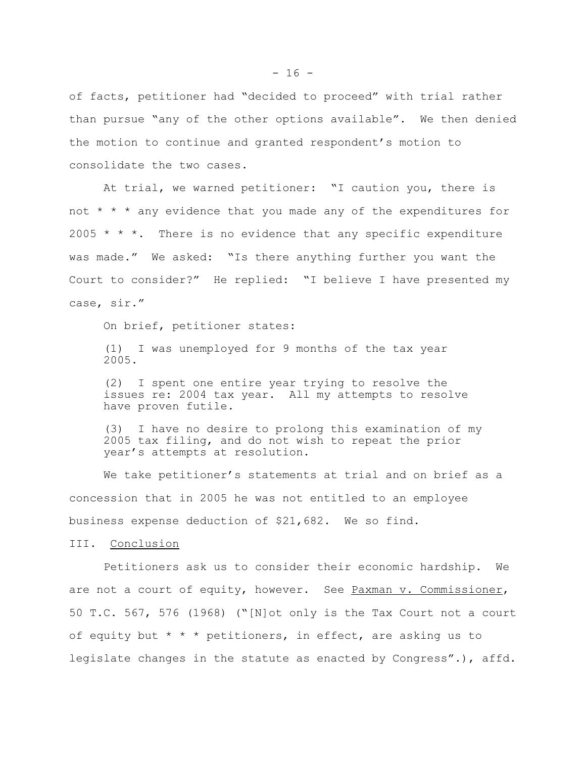of facts, petitioner had "decided to proceed" with trial rather than pursue "any of the other options available". We then denied the motion to continue and granted respondent's motion to consolidate the two cases.

At trial, we warned petitioner: "I caution you, there is not  $* * *$  any evidence that you made any of the expenditures for 2005  $*$   $*$   $*$ . There is no evidence that any specific expenditure was made." We asked: "Is there anything further you want the Court to consider?" He replied: "I believe I have presented my case, sir."

On brief, petitioner states:

(1) I was unemployed for 9 months of the tax year 2005.

(2) I spent one entire year trying to resolve the issues re: 2004 tax year. All my attempts to resolve have proven futile.

(3) I have no desire to prolong this examination of my 2005 tax filing, and do not wish to repeat the prior year's attempts at resolution.

We take petitioner's statements at trial and on brief as a concession that in 2005 he was not entitled to an employee business expense deduction of \$21,682. We so find.

III. Conclusion

Petitioners ask us to consider their economic hardship. We are not a court of equity, however. See Paxman v. Commissioner, 50 T.C. 567, 576 (1968) ("[N]ot only is the Tax Court not a court of equity but  $* * *$  petitioners, in effect, are asking us to legislate changes in the statute as enacted by Congress".), affd.